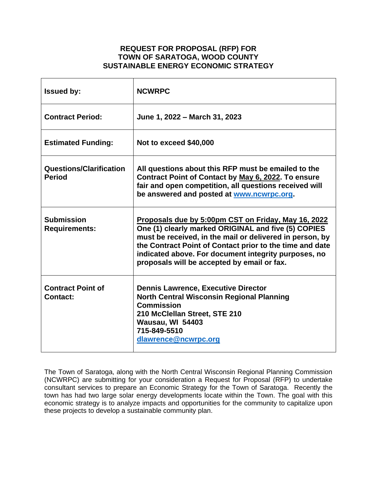# **REQUEST FOR PROPOSAL (RFP) FOR TOWN OF SARATOGA, WOOD COUNTY SUSTAINABLE ENERGY ECONOMIC STRATEGY**

| <b>Issued by:</b>                               | <b>NCWRPC</b>                                                                                                                                                                                                                                                                                                                             |  |
|-------------------------------------------------|-------------------------------------------------------------------------------------------------------------------------------------------------------------------------------------------------------------------------------------------------------------------------------------------------------------------------------------------|--|
| <b>Contract Period:</b>                         | June 1, 2022 - March 31, 2023                                                                                                                                                                                                                                                                                                             |  |
| <b>Estimated Funding:</b>                       | Not to exceed \$40,000                                                                                                                                                                                                                                                                                                                    |  |
| <b>Questions/Clarification</b><br><b>Period</b> | All questions about this RFP must be emailed to the<br>Contract Point of Contact by May 6, 2022. To ensure<br>fair and open competition, all questions received will<br>be answered and posted at www.ncwrpc.org.                                                                                                                         |  |
| <b>Submission</b><br><b>Requirements:</b>       | Proposals due by 5:00pm CST on Friday, May 16, 2022<br>One (1) clearly marked ORIGINAL and five (5) COPIES<br>must be received, in the mail or delivered in person, by<br>the Contract Point of Contact prior to the time and date<br>indicated above. For document integrity purposes, no<br>proposals will be accepted by email or fax. |  |
| <b>Contract Point of</b><br><b>Contact:</b>     | <b>Dennis Lawrence, Executive Director</b><br><b>North Central Wisconsin Regional Planning</b><br><b>Commission</b><br>210 McClellan Street, STE 210<br>Wausau, WI 54403<br>715-849-5510<br>dlawrence@ncwrpc.org                                                                                                                          |  |

The Town of Saratoga, along with the North Central Wisconsin Regional Planning Commission (NCWRPC) are submitting for your consideration a Request for Proposal (RFP) to undertake consultant services to prepare an Economic Strategy for the Town of Saratoga. Recently the town has had two large solar energy developments locate within the Town. The goal with this economic strategy is to analyze impacts and opportunities for the community to capitalize upon these projects to develop a sustainable community plan.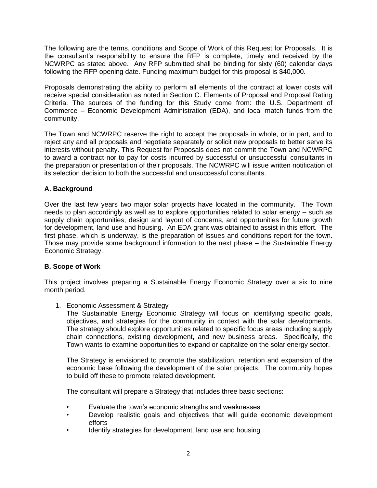The following are the terms, conditions and Scope of Work of this Request for Proposals. It is the consultant's responsibility to ensure the RFP is complete, timely and received by the NCWRPC as stated above. Any RFP submitted shall be binding for sixty (60) calendar days following the RFP opening date. Funding maximum budget for this proposal is \$40,000.

Proposals demonstrating the ability to perform all elements of the contract at lower costs will receive special consideration as noted in Section C. Elements of Proposal and Proposal Rating Criteria. The sources of the funding for this Study come from: the U.S. Department of Commerce – Economic Development Administration (EDA), and local match funds from the community.

The Town and NCWRPC reserve the right to accept the proposals in whole, or in part, and to reject any and all proposals and negotiate separately or solicit new proposals to better serve its interests without penalty. This Request for Proposals does not commit the Town and NCWRPC to award a contract nor to pay for costs incurred by successful or unsuccessful consultants in the preparation or presentation of their proposals. The NCWRPC will issue written notification of its selection decision to both the successful and unsuccessful consultants.

# **A. Background**

Over the last few years two major solar projects have located in the community. The Town needs to plan accordingly as well as to explore opportunities related to solar energy – such as supply chain opportunities, design and layout of concerns, and opportunities for future growth for development, land use and housing. An EDA grant was obtained to assist in this effort. The first phase, which is underway, is the preparation of issues and conditions report for the town. Those may provide some background information to the next phase – the Sustainable Energy Economic Strategy.

# **B. Scope of Work**

This project involves preparing a Sustainable Energy Economic Strategy over a six to nine month period.

1. Economic Assessment & Strategy

The Sustainable Energy Economic Strategy will focus on identifying specific goals, objectives, and strategies for the community in context with the solar developments. The strategy should explore opportunities related to specific focus areas including supply chain connections, existing development, and new business areas. Specifically, the Town wants to examine opportunities to expand or capitalize on the solar energy sector.

The Strategy is envisioned to promote the stabilization, retention and expansion of the economic base following the development of the solar projects. The community hopes to build off these to promote related development.

The consultant will prepare a Strategy that includes three basic sections:

- Evaluate the town's economic strengths and weaknesses
- Develop realistic goals and objectives that will guide economic development efforts
- Identify strategies for development, land use and housing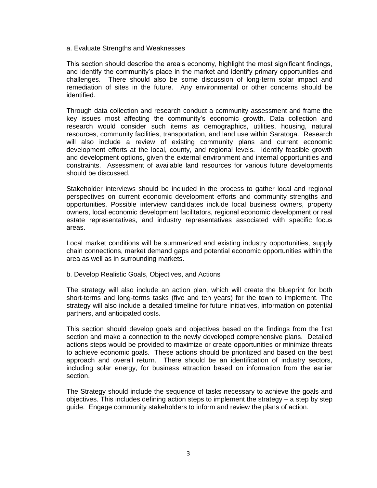a. Evaluate Strengths and Weaknesses

This section should describe the area's economy, highlight the most significant findings, and identify the community's place in the market and identify primary opportunities and challenges. There should also be some discussion of long-term solar impact and remediation of sites in the future. Any environmental or other concerns should be identified.

Through data collection and research conduct a community assessment and frame the key issues most affecting the community's economic growth. Data collection and research would consider such items as demographics, utilities, housing, natural resources, community facilities, transportation, and land use within Saratoga. Research will also include a review of existing community plans and current economic development efforts at the local, county, and regional levels. Identify feasible growth and development options, given the external environment and internal opportunities and constraints. Assessment of available land resources for various future developments should be discussed.

Stakeholder interviews should be included in the process to gather local and regional perspectives on current economic development efforts and community strengths and opportunities. Possible interview candidates include local business owners, property owners, local economic development facilitators, regional economic development or real estate representatives, and industry representatives associated with specific focus areas.

Local market conditions will be summarized and existing industry opportunities, supply chain connections, market demand gaps and potential economic opportunities within the area as well as in surrounding markets.

b. Develop Realistic Goals, Objectives, and Actions

The strategy will also include an action plan, which will create the blueprint for both short-terms and long-terms tasks (five and ten years) for the town to implement. The strategy will also include a detailed timeline for future initiatives, information on potential partners, and anticipated costs.

This section should develop goals and objectives based on the findings from the first section and make a connection to the newly developed comprehensive plans. Detailed actions steps would be provided to maximize or create opportunities or minimize threats to achieve economic goals. These actions should be prioritized and based on the best approach and overall return. There should be an identification of industry sectors, including solar energy, for business attraction based on information from the earlier section.

The Strategy should include the sequence of tasks necessary to achieve the goals and objectives. This includes defining action steps to implement the strategy – a step by step guide. Engage community stakeholders to inform and review the plans of action.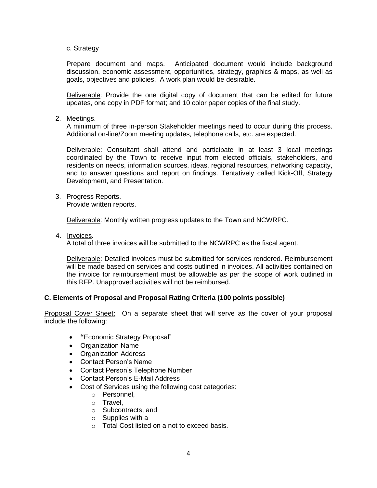c. Strategy

Prepare document and maps. Anticipated document would include background discussion, economic assessment, opportunities, strategy, graphics & maps, as well as goals, objectives and policies. A work plan would be desirable.

Deliverable: Provide the one digital copy of document that can be edited for future updates, one copy in PDF format; and 10 color paper copies of the final study.

2. Meetings.

A minimum of three in-person Stakeholder meetings need to occur during this process. Additional on-line/Zoom meeting updates, telephone calls, etc. are expected.

Deliverable: Consultant shall attend and participate in at least 3 local meetings coordinated by the Town to receive input from elected officials, stakeholders, and residents on needs, information sources, ideas, regional resources, networking capacity, and to answer questions and report on findings. Tentatively called Kick-Off, Strategy Development, and Presentation.

3. Progress Reports.

Provide written reports.

Deliverable: Monthly written progress updates to the Town and NCWRPC.

4. Invoices.

A total of three invoices will be submitted to the NCWRPC as the fiscal agent.

Deliverable: Detailed invoices must be submitted for services rendered. Reimbursement will be made based on services and costs outlined in invoices. All activities contained on the invoice for reimbursement must be allowable as per the scope of work outlined in this RFP. Unapproved activities will not be reimbursed.

# **C. Elements of Proposal and Proposal Rating Criteria (100 points possible)**

Proposal Cover Sheet: On a separate sheet that will serve as the cover of your proposal include the following:

- **"**Economic Strategy Proposal"
- Organization Name
- Organization Address
- Contact Person's Name
- Contact Person's Telephone Number
- Contact Person's E-Mail Address
- Cost of Services using the following cost categories:
	- o Personnel,
	- o Travel,
	- o Subcontracts, and
	- $\circ$  Supplies with a
	- o Total Cost listed on a not to exceed basis.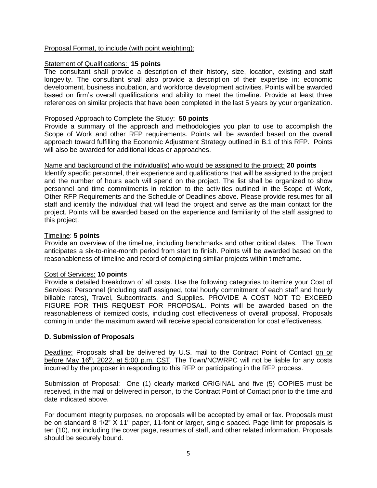## Proposal Format, to include (with point weighting):

## Statement of Qualifications: **15 points**

The consultant shall provide a description of their history, size, location, existing and staff longevity. The consultant shall also provide a description of their expertise in: economic development, business incubation, and workforce development activities. Points will be awarded based on firm's overall qualifications and ability to meet the timeline. Provide at least three references on similar projects that have been completed in the last 5 years by your organization.

## Proposed Approach to Complete the Study: **50 points**

Provide a summary of the approach and methodologies you plan to use to accomplish the Scope of Work and other RFP requirements. Points will be awarded based on the overall approach toward fulfilling the Economic Adjustment Strategy outlined in B.1 of this RFP. Points will also be awarded for additional ideas or approaches.

### Name and background of the individual(s) who would be assigned to the project: **20 points**

Identify specific personnel, their experience and qualifications that will be assigned to the project and the number of hours each will spend on the project. The list shall be organized to show personnel and time commitments in relation to the activities outlined in the Scope of Work, Other RFP Requirements and the Schedule of Deadlines above. Please provide resumes for all staff and identify the individual that will lead the project and serve as the main contact for the project. Points will be awarded based on the experience and familiarity of the staff assigned to this project.

## Timeline: **5 points**

Provide an overview of the timeline, including benchmarks and other critical dates. The Town anticipates a six-to-nine-month period from start to finish. Points will be awarded based on the reasonableness of timeline and record of completing similar projects within timeframe.

# Cost of Services: **10 points**

Provide a detailed breakdown of all costs. Use the following categories to itemize your Cost of Services: Personnel (including staff assigned, total hourly commitment of each staff and hourly billable rates), Travel, Subcontracts, and Supplies. PROVIDE A COST NOT TO EXCEED FIGURE FOR THIS REQUEST FOR PROPOSAL. Points will be awarded based on the reasonableness of itemized costs, including cost effectiveness of overall proposal. Proposals coming in under the maximum award will receive special consideration for cost effectiveness.

# **D. Submission of Proposals**

Deadline: Proposals shall be delivered by U.S. mail to the Contract Point of Contact on or before May 16<sup>th</sup>, 2022, at 5:00 p.m. CST. The Town/NCWRPC will not be liable for any costs incurred by the proposer in responding to this RFP or participating in the RFP process.

Submission of Proposal: One (1) clearly marked ORIGINAL and five (5) COPIES must be received, in the mail or delivered in person, to the Contract Point of Contact prior to the time and date indicated above.

For document integrity purposes, no proposals will be accepted by email or fax. Proposals must be on standard 8 1/2" X 11" paper, 11-font or larger, single spaced. Page limit for proposals is ten (10), not including the cover page, resumes of staff, and other related information. Proposals should be securely bound.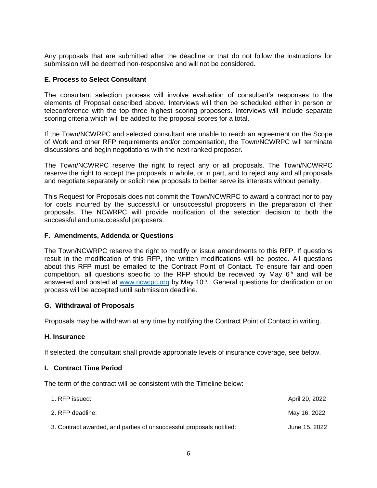Any proposals that are submitted after the deadline or that do not follow the instructions for submission will be deemed non-responsive and will not be considered.

## **E. Process to Select Consultant**

The consultant selection process will involve evaluation of consultant's responses to the elements of Proposal described above. Interviews will then be scheduled either in person or teleconference with the top three highest scoring proposers. Interviews will include separate scoring criteria which will be added to the proposal scores for a total.

If the Town/NCWRPC and selected consultant are unable to reach an agreement on the Scope of Work and other RFP requirements and/or compensation, the Town/NCWRPC will terminate discussions and begin negotiations with the next ranked proposer.

The Town/NCWRPC reserve the right to reject any or all proposals. The Town/NCWRPC reserve the right to accept the proposals in whole, or in part, and to reject any and all proposals and negotiate separately or solicit new proposals to better serve its interests without penalty.

This Request for Proposals does not commit the Town/NCWRPC to award a contract nor to pay for costs incurred by the successful or unsuccessful proposers in the preparation of their proposals. The NCWRPC will provide notification of the selection decision to both the successful and unsuccessful proposers.

## **F. Amendments, Addenda or Questions**

The Town/NCWRPC reserve the right to modify or issue amendments to this RFP. If questions result in the modification of this RFP, the written modifications will be posted. All questions about this RFP must be emailed to the Contract Point of Contact. To ensure fair and open competition, all questions specific to the RFP should be received by May  $6<sup>th</sup>$  and will be answered and posted at [www.ncwrpc.org](http://www.ncwrpc.org/) by May 10<sup>th</sup>. General questions for clarification or on process will be accepted until submission deadline.

### **G. Withdrawal of Proposals**

Proposals may be withdrawn at any time by notifying the Contract Point of Contact in writing.

### **H. Insurance**

If selected, the consultant shall provide appropriate levels of insurance coverage, see below.

### **I. Contract Time Period**

The term of the contract will be consistent with the Timeline below:

| 1. RFP issued:                                                       | April 20, 2022 |
|----------------------------------------------------------------------|----------------|
| 2. RFP deadline:                                                     | May 16, 2022   |
| 3. Contract awarded, and parties of unsuccessful proposals notified: | June 15, 2022  |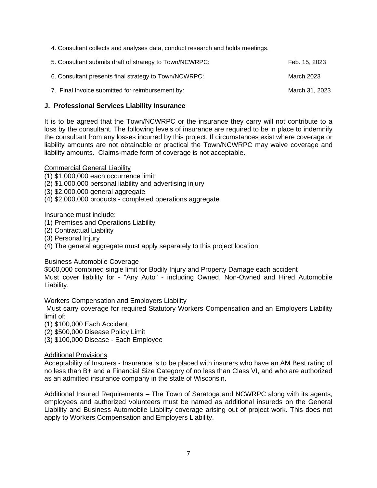4. Consultant collects and analyses data, conduct research and holds meetings.

| 5. Consultant submits draft of strategy to Town/NCWRPC: | Feb. 15, 2023  |
|---------------------------------------------------------|----------------|
| 6. Consultant presents final strategy to Town/NCWRPC:   | March 2023     |
| 7. Final Invoice submitted for reimbursement by:        | March 31, 2023 |

## **J. Professional Services Liability Insurance**

It is to be agreed that the Town/NCWRPC or the insurance they carry will not contribute to a loss by the consultant. The following levels of insurance are required to be in place to indemnify the consultant from any losses incurred by this project. If circumstances exist where coverage or liability amounts are not obtainable or practical the Town/NCWRPC may waive coverage and liability amounts. Claims-made form of coverage is not acceptable.

### Commercial General Liability

(1) \$1,000,000 each occurrence limit

(2) \$1,000,000 personal liability and advertising injury

(3) \$2,000,000 general aggregate

(4) \$2,000,000 products - completed operations aggregate

Insurance must include:

- (1) Premises and Operations Liability
- (2) Contractual Liability
- (3) Personal Injury

(4) The general aggregate must apply separately to this project location

### Business Automobile Coverage

\$500,000 combined single limit for Bodily Injury and Property Damage each accident Must cover liability for - "Any Auto" - including Owned, Non-Owned and Hired Automobile Liability.

### Workers Compensation and Employers Liability

Must carry coverage for required Statutory Workers Compensation and an Employers Liability limit of:

(1) \$100,000 Each Accident

(2) \$500,000 Disease Policy Limit

(3) \$100,000 Disease - Each Employee

### Additional Provisions

Acceptability of Insurers - Insurance is to be placed with insurers who have an AM Best rating of no less than B+ and a Financial Size Category of no less than Class VI, and who are authorized as an admitted insurance company in the state of Wisconsin.

Additional Insured Requirements – The Town of Saratoga and NCWRPC along with its agents, employees and authorized volunteers must be named as additional insureds on the General Liability and Business Automobile Liability coverage arising out of project work. This does not apply to Workers Compensation and Employers Liability.